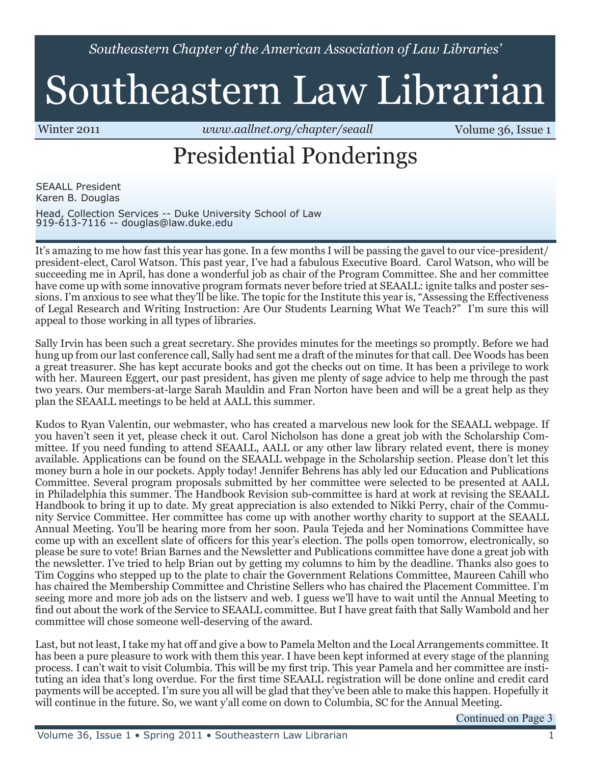*Southeastern Chapter of the American Association of Law Libraries'*

# Southeastern Law Librarian

Winter 2011 *<www.aallnet.org/chapter/seaall>* **Volume 36, Issue 1** 

## Presidential Ponderings

SEAALL President Karen B. Douglas

Head, Collection Services -- Duke University School of Law 919-613-7116 -- [douglas@law.duke.edu](mailto:douglas@law.duke.edu)

It's amazing to me how fast this year has gone. In a few months I will be passing the gavel to our vice-president/ president-elect, Carol Watson. This past year, I've had a fabulous Executive Board. Carol Watson, who will be succeeding me in April, has done a wonderful job as chair of the Program Committee. She and her committee have come up with some innovative program formats never before tried at SEAALL: ignite talks and poster sessions. I'm anxious to see what they'll be like. The topic for the Institute this year is, "Assessing the Effectiveness of Legal Research and Writing Instruction: Are Our Students Learning What We Teach?" I'm sure this will appeal to those working in all types of libraries.

Sally Irvin has been such a great secretary. She provides minutes for the meetings so promptly. Before we had hung up from our last conference call, Sally had sent me a draft of the minutes for that call. Dee Woods has been a great treasurer. She has kept accurate books and got the checks out on time. It has been a privilege to work with her. Maureen Eggert, our past president, has given me plenty of sage advice to help me through the past two years. Our members-at-large Sarah Mauldin and Fran Norton have been and will be a great help as they plan the SEAALL meetings to be held at AALL this summer.

Kudos to Ryan Valentin, our webmaster, who has created a marvelous new look for the SEAALL webpage. If you haven't seen it yet, please check it out. Carol Nicholson has done a great job with the Scholarship Committee. If you need funding to attend SEAALL, AALL or any other law library related event, there is money available. Applications can be found on the SEAALL webpage in the Scholarship section. Please don't let this money burn a hole in our pockets. Apply today! Jennifer Behrens has ably led our Education and Publications Committee. Several program proposals submitted by her committee were selected to be presented at AALL in Philadelphia this summer. The Handbook Revision sub-committee is hard at work at revising the SEAALL Handbook to bring it up to date. My great appreciation is also extended to Nikki Perry, chair of the Community Service Committee. Her committee has come up with another worthy charity to support at the SEAALL Annual Meeting. You'll be hearing more from her soon. Paula Tejeda and her Nominations Committee have come up with an excellent slate of officers for this year's election. The polls open tomorrow, electronically, so please be sure to vote! Brian Barnes and the Newsletter and Publications committee have done a great job with the newsletter. I've tried to help Brian out by getting my columns to him by the deadline. Thanks also goes to Tim Coggins who stepped up to the plate to chair the Government Relations Committee, Maureen Cahill who has chaired the Membership Committee and Christine Sellers who has chaired the Placement Committee. I'm seeing more and more job ads on the listserv and web. I guess we'll have to wait until the Annual Meeting to find out about the work of the Service to SEAALL committee. But I have great faith that Sally Wambold and her committee will chose someone well-deserving of the award.

Last, but not least, I take my hat off and give a bow to Pamela Melton and the Local Arrangements committee. It has been a pure pleasure to work with them this year. I have been kept informed at every stage of the planning process. I can't wait to visit Columbia. This will be my first trip. This year Pamela and her committee are instituting an idea that's long overdue. For the first time SEAALL registration will be done online and credit card payments will be accepted. I'm sure you all will be glad that they've been able to make this happen. Hopefully it will continue in the future. So, we want y'all come on down to Columbia, SC for the Annual Meeting.

Continued on Page 3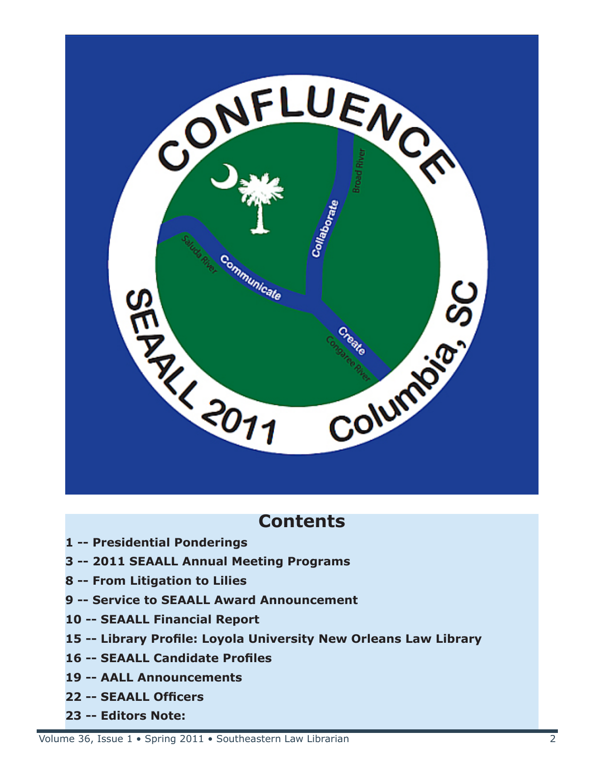

### **Contents**

- **1 -- Presidential Ponderings**
- **3 -- 2011 SEAALL Annual Meeting Programs**
- **8 -- From Litigation to Lilies**
- **9 -- Service to SEAALL Award Announcement**
- **10 -- SEAALL Financial Report**
- **15 -- Library Profile: Loyola University New Orleans Law Library**
- **16 -- SEAALL Candidate Profiles**
- **19 -- AALL Announcements**
- **22 -- SEAALL Officers**
- **23 -- Editors Note:**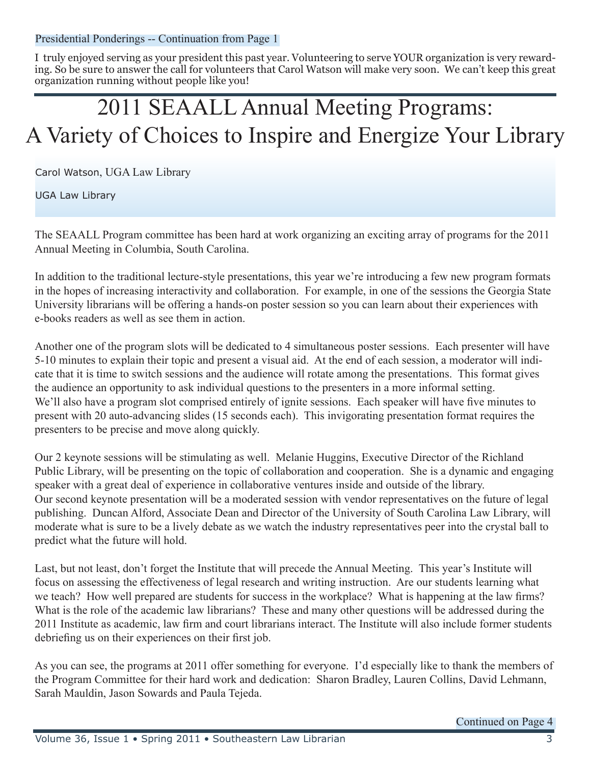Presidential Ponderings -- Continuation from Page 1

I truly enjoyed serving as your president this past year. Volunteering to serve YOUR organization is very rewarding. So be sure to answer the call for volunteers that Carol Watson will make very soon. We can't keep this great organization running without people like you!

### 2011 SEAALL Annual Meeting Programs: A Variety of Choices to Inspire and Energize Your Library

Carol Watson, UGA Law Library

UGA Law Library

The SEAALL Program committee has been hard at work organizing an exciting array of programs for the 2011 Annual Meeting in Columbia, South Carolina.

In addition to the traditional lecture-style presentations, this year we're introducing a few new program formats in the hopes of increasing interactivity and collaboration. For example, in one of the sessions the Georgia State University librarians will be offering a hands-on poster session so you can learn about their experiences with e-books readers as well as see them in action.

Another one of the program slots will be dedicated to 4 simultaneous poster sessions. Each presenter will have 5-10 minutes to explain their topic and present a visual aid. At the end of each session, a moderator will indicate that it is time to switch sessions and the audience will rotate among the presentations. This format gives the audience an opportunity to ask individual questions to the presenters in a more informal setting. We'll also have a program slot comprised entirely of ignite sessions. Each speaker will have five minutes to present with 20 auto-advancing slides (15 seconds each). This invigorating presentation format requires the presenters to be precise and move along quickly.

Our 2 keynote sessions will be stimulating as well. Melanie Huggins, Executive Director of the Richland Public Library, will be presenting on the topic of collaboration and cooperation. She is a dynamic and engaging speaker with a great deal of experience in collaborative ventures inside and outside of the library. Our second keynote presentation will be a moderated session with vendor representatives on the future of legal publishing. Duncan Alford, Associate Dean and Director of the University of South Carolina Law Library, will moderate what is sure to be a lively debate as we watch the industry representatives peer into the crystal ball to predict what the future will hold.

Last, but not least, don't forget the Institute that will precede the Annual Meeting. This year's Institute will focus on assessing the effectiveness of legal research and writing instruction. Are our students learning what we teach? How well prepared are students for success in the workplace? What is happening at the law firms? What is the role of the academic law librarians? These and many other questions will be addressed during the 2011 Institute as academic, law firm and court librarians interact. The Institute will also include former students debriefing us on their experiences on their first job.

As you can see, the programs at 2011 offer something for everyone. I'd especially like to thank the members of the Program Committee for their hard work and dedication: Sharon Bradley, Lauren Collins, David Lehmann, Sarah Mauldin, Jason Sowards and Paula Tejeda.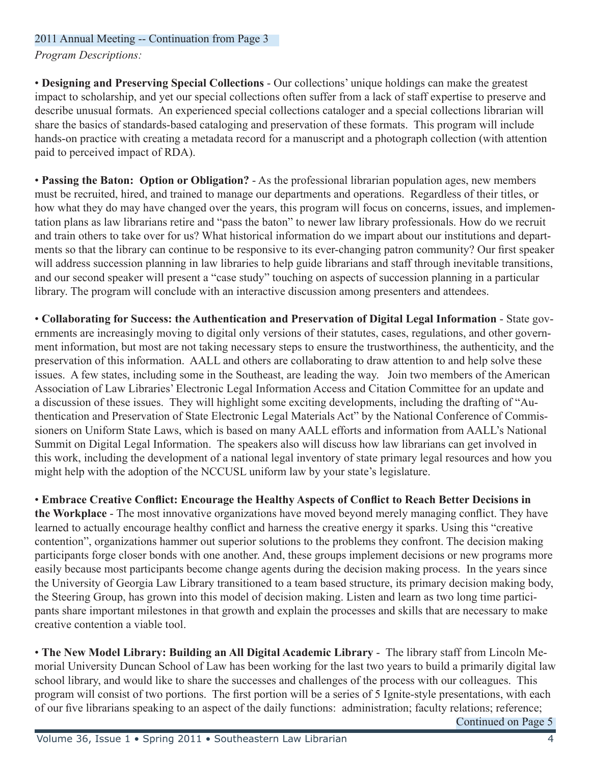*Program Descriptions:* 

• **Designing and Preserving Special Collections** - Our collections' unique holdings can make the greatest impact to scholarship, and yet our special collections often suffer from a lack of staff expertise to preserve and describe unusual formats. An experienced special collections cataloger and a special collections librarian will share the basics of standards-based cataloging and preservation of these formats. This program will include hands-on practice with creating a metadata record for a manuscript and a photograph collection (with attention paid to perceived impact of RDA).

• **Passing the Baton: Option or Obligation?** - As the professional librarian population ages, new members must be recruited, hired, and trained to manage our departments and operations. Regardless of their titles, or how what they do may have changed over the years, this program will focus on concerns, issues, and implementation plans as law librarians retire and "pass the baton" to newer law library professionals. How do we recruit and train others to take over for us? What historical information do we impart about our institutions and departments so that the library can continue to be responsive to its ever-changing patron community? Our first speaker will address succession planning in law libraries to help guide librarians and staff through inevitable transitions, and our second speaker will present a "case study" touching on aspects of succession planning in a particular library. The program will conclude with an interactive discussion among presenters and attendees.

• **Collaborating for Success: the Authentication and Preservation of Digital Legal Information** - State governments are increasingly moving to digital only versions of their statutes, cases, regulations, and other government information, but most are not taking necessary steps to ensure the trustworthiness, the authenticity, and the preservation of this information. AALL and others are collaborating to draw attention to and help solve these issues. A few states, including some in the Southeast, are leading the way. Join two members of the American Association of Law Libraries' Electronic Legal Information Access and Citation Committee for an update and a discussion of these issues. They will highlight some exciting developments, including the drafting of "Authentication and Preservation of State Electronic Legal Materials Act" by the National Conference of Commissioners on Uniform State Laws, which is based on many AALL efforts and information from AALL's National Summit on Digital Legal Information. The speakers also will discuss how law librarians can get involved in this work, including the development of a national legal inventory of state primary legal resources and how you might help with the adoption of the NCCUSL uniform law by your state's legislature.

• **Embrace Creative Conflict: Encourage the Healthy Aspects of Conflict to Reach Better Decisions in the Workplace** - The most innovative organizations have moved beyond merely managing conflict. They have learned to actually encourage healthy conflict and harness the creative energy it sparks. Using this "creative contention", organizations hammer out superior solutions to the problems they confront. The decision making participants forge closer bonds with one another. And, these groups implement decisions or new programs more easily because most participants become change agents during the decision making process. In the years since the University of Georgia Law Library transitioned to a team based structure, its primary decision making body, the Steering Group, has grown into this model of decision making. Listen and learn as two long time participants share important milestones in that growth and explain the processes and skills that are necessary to make creative contention a viable tool.

• **The New Model Library: Building an All Digital Academic Library** - The library staff from Lincoln Memorial University Duncan School of Law has been working for the last two years to build a primarily digital law school library, and would like to share the successes and challenges of the process with our colleagues. This program will consist of two portions. The first portion will be a series of 5 Ignite-style presentations, with each of our five librarians speaking to an aspect of the daily functions: administration; faculty relations; reference;

Continued on Page 5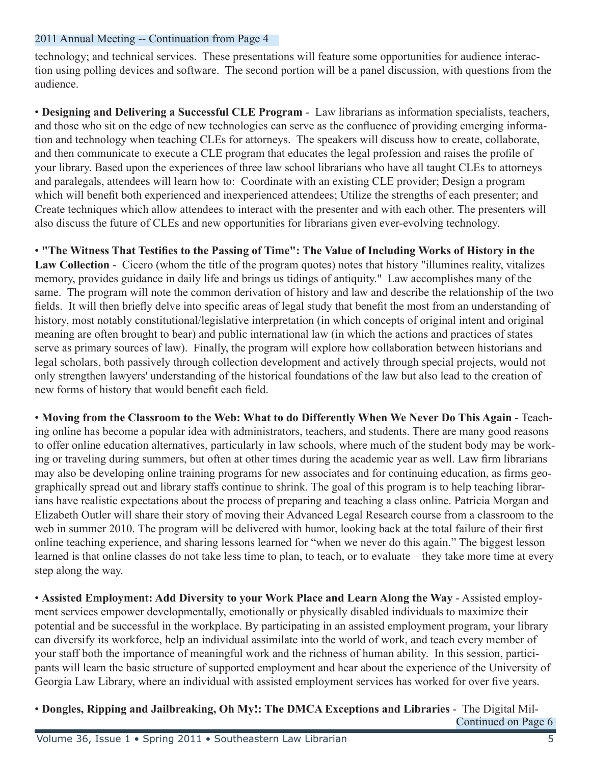technology; and technical services. These presentations will feature some opportunities for audience interaction using polling devices and software. The second portion will be a panel discussion, with questions from the audience.

• **Designing and Delivering a Successful CLE Program** - Law librarians as information specialists, teachers, and those who sit on the edge of new technologies can serve as the confluence of providing emerging information and technology when teaching CLEs for attorneys. The speakers will discuss how to create, collaborate, and then communicate to execute a CLE program that educates the legal profession and raises the profile of your library. Based upon the experiences of three law school librarians who have all taught CLEs to attorneys and paralegals, attendees will learn how to: Coordinate with an existing CLE provider; Design a program which will benefit both experienced and inexperienced attendees; Utilize the strengths of each presenter; and Create techniques which allow attendees to interact with the presenter and with each other. The presenters will also discuss the future of CLEs and new opportunities for librarians given ever-evolving technology.

• **"The Witness That Testifies to the Passing of Time": The Value of Including Works of History in the Law Collection** - Cicero (whom the title of the program quotes) notes that history "illumines reality, vitalizes memory, provides guidance in daily life and brings us tidings of antiquity." Law accomplishes many of the same. The program will note the common derivation of history and law and describe the relationship of the two fields. It will then briefly delve into specific areas of legal study that benefit the most from an understanding of history, most notably constitutional/legislative interpretation (in which concepts of original intent and original meaning are often brought to bear) and public international law (in which the actions and practices of states serve as primary sources of law). Finally, the program will explore how collaboration between historians and legal scholars, both passively through collection development and actively through special projects, would not only strengthen lawyers' understanding of the historical foundations of the law but also lead to the creation of new forms of history that would benefit each field.

• **Moving from the Classroom to the Web: What to do Differently When We Never Do This Again** - Teaching online has become a popular idea with administrators, teachers, and students. There are many good reasons to offer online education alternatives, particularly in law schools, where much of the student body may be working or traveling during summers, but often at other times during the academic year as well. Law firm librarians may also be developing online training programs for new associates and for continuing education, as firms geographically spread out and library staffs continue to shrink. The goal of this program is to help teaching librarians have realistic expectations about the process of preparing and teaching a class online. Patricia Morgan and Elizabeth Outler will share their story of moving their Advanced Legal Research course from a classroom to the web in summer 2010. The program will be delivered with humor, looking back at the total failure of their first online teaching experience, and sharing lessons learned for "when we never do this again." The biggest lesson learned is that online classes do not take less time to plan, to teach, or to evaluate – they take more time at every step along the way.

• **Assisted Employment: Add Diversity to your Work Place and Learn Along the Way** - Assisted employment services empower developmentally, emotionally or physically disabled individuals to maximize their potential and be successful in the workplace. By participating in an assisted employment program, your library can diversify its workforce, help an individual assimilate into the world of work, and teach every member of your staff both the importance of meaningful work and the richness of human ability. In this session, participants will learn the basic structure of supported employment and hear about the experience of the University of Georgia Law Library, where an individual with assisted employment services has worked for over five years.

#### • **Dongles, Ripping and Jailbreaking, Oh My!: The DMCA Exceptions and Libraries** - The Digital Mil-Continued on Page 6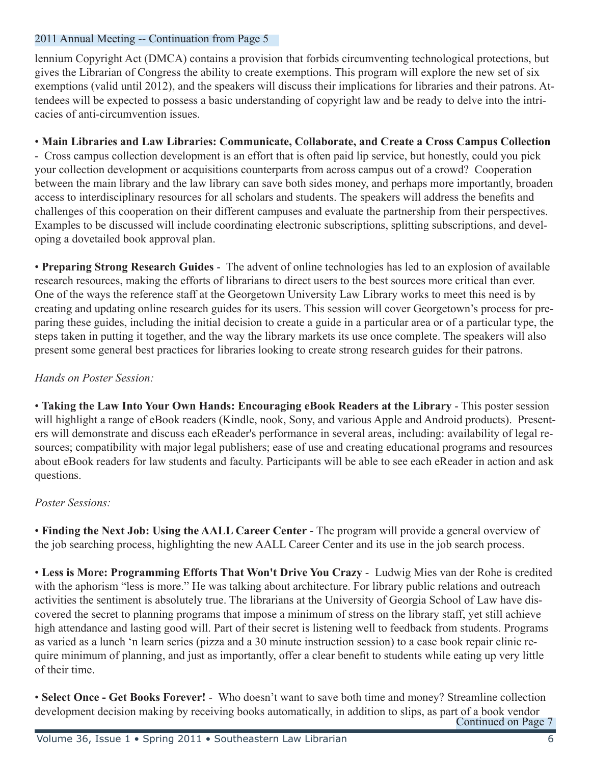lennium Copyright Act (DMCA) contains a provision that forbids circumventing technological protections, but gives the Librarian of Congress the ability to create exemptions. This program will explore the new set of six exemptions (valid until 2012), and the speakers will discuss their implications for libraries and their patrons. Attendees will be expected to possess a basic understanding of copyright law and be ready to delve into the intricacies of anti-circumvention issues.

#### • **Main Libraries and Law Libraries: Communicate, Collaborate, and Create a Cross Campus Collection**

- Cross campus collection development is an effort that is often paid lip service, but honestly, could you pick your collection development or acquisitions counterparts from across campus out of a crowd? Cooperation between the main library and the law library can save both sides money, and perhaps more importantly, broaden access to interdisciplinary resources for all scholars and students. The speakers will address the benefits and challenges of this cooperation on their different campuses and evaluate the partnership from their perspectives. Examples to be discussed will include coordinating electronic subscriptions, splitting subscriptions, and developing a dovetailed book approval plan.

• **Preparing Strong Research Guides** - The advent of online technologies has led to an explosion of available research resources, making the efforts of librarians to direct users to the best sources more critical than ever. One of the ways the reference staff at the Georgetown University Law Library works to meet this need is by creating and updating online research guides for its users. This session will cover Georgetown's process for preparing these guides, including the initial decision to create a guide in a particular area or of a particular type, the steps taken in putting it together, and the way the library markets its use once complete. The speakers will also present some general best practices for libraries looking to create strong research guides for their patrons.

#### *Hands on Poster Session:*

• **Taking the Law Into Your Own Hands: Encouraging eBook Readers at the Library** - This poster session will highlight a range of eBook readers (Kindle, nook, Sony, and various Apple and Android products). Presenters will demonstrate and discuss each eReader's performance in several areas, including: availability of legal resources; compatibility with major legal publishers; ease of use and creating educational programs and resources about eBook readers for law students and faculty. Participants will be able to see each eReader in action and ask questions.

#### *Poster Sessions:*

• **Finding the Next Job: Using the AALL Career Center** - The program will provide a general overview of the job searching process, highlighting the new AALL Career Center and its use in the job search process.

• **Less is More: Programming Efforts That Won't Drive You Crazy** - Ludwig Mies van der Rohe is credited with the aphorism "less is more." He was talking about architecture. For library public relations and outreach activities the sentiment is absolutely true. The librarians at the University of Georgia School of Law have discovered the secret to planning programs that impose a minimum of stress on the library staff, yet still achieve high attendance and lasting good will. Part of their secret is listening well to feedback from students. Programs as varied as a lunch 'n learn series (pizza and a 30 minute instruction session) to a case book repair clinic require minimum of planning, and just as importantly, offer a clear benefit to students while eating up very little of their time.

• **Select Once - Get Books Forever!** - Who doesn't want to save both time and money? Streamline collection development decision making by receiving books automatically, in addition to slips, as part of a book vendor Continued on Page 7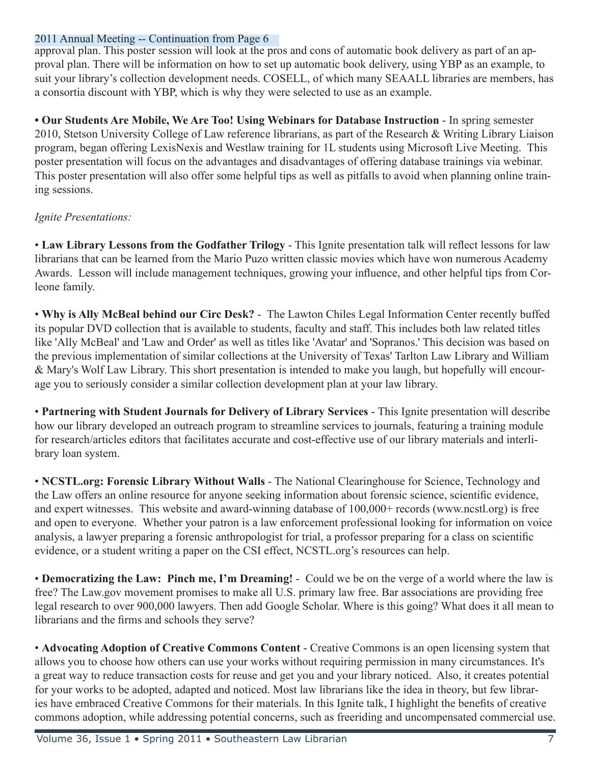approval plan. This poster session will look at the pros and cons of automatic book delivery as part of an approval plan. There will be information on how to set up automatic book delivery, using YBP as an example, to suit your library's collection development needs. COSELL, of which many SEAALL libraries are members, has a consortia discount with YBP, which is why they were selected to use as an example.

**• Our Students Are Mobile, We Are Too! Using Webinars for Database Instruction** - In spring semester 2010, Stetson University College of Law reference librarians, as part of the Research & Writing Library Liaison program, began offering LexisNexis and Westlaw training for 1L students using Microsoft Live Meeting. This poster presentation will focus on the advantages and disadvantages of offering database trainings via webinar. This poster presentation will also offer some helpful tips as well as pitfalls to avoid when planning online training sessions.

#### *Ignite Presentations:*

• **Law Library Lessons from the Godfather Trilogy** - This Ignite presentation talk will reflect lessons for law librarians that can be learned from the Mario Puzo written classic movies which have won numerous Academy Awards. Lesson will include management techniques, growing your influence, and other helpful tips from Corleone family.

• **Why is Ally McBeal behind our Circ Desk?** - The Lawton Chiles Legal Information Center recently buffed its popular DVD collection that is available to students, faculty and staff. This includes both law related titles like 'Ally McBeal' and 'Law and Order' as well as titles like 'Avatar' and 'Sopranos.' This decision was based on the previous implementation of similar collections at the University of Texas' Tarlton Law Library and William & Mary's Wolf Law Library. This short presentation is intended to make you laugh, but hopefully will encourage you to seriously consider a similar collection development plan at your law library.

• **Partnering with Student Journals for Delivery of Library Services** - This Ignite presentation will describe how our library developed an outreach program to streamline services to journals, featuring a training module for research/articles editors that facilitates accurate and cost-effective use of our library materials and interlibrary loan system.

• **NCSTL.org: Forensic Library Without Walls** - The National Clearinghouse for Science, Technology and the Law offers an online resource for anyone seeking information about forensic science, scientific evidence, and expert witnesses. This website and award-winning database of 100,000+ records (www.ncstl.org) is free and open to everyone. Whether your patron is a law enforcement professional looking for information on voice analysis, a lawyer preparing a forensic anthropologist for trial, a professor preparing for a class on scientific evidence, or a student writing a paper on the CSI effect, NCSTL.org's resources can help.

• **Democratizing the Law: Pinch me, I'm Dreaming!** - Could we be on the verge of a world where the law is free? The Law.gov movement promises to make all U.S. primary law free. Bar associations are providing free legal research to over 900,000 lawyers. Then add Google Scholar. Where is this going? What does it all mean to librarians and the firms and schools they serve?

• **Advocating Adoption of Creative Commons Content** - Creative Commons is an open licensing system that allows you to choose how others can use your works without requiring permission in many circumstances. It's a great way to reduce transaction costs for reuse and get you and your library noticed. Also, it creates potential for your works to be adopted, adapted and noticed. Most law librarians like the idea in theory, but few libraries have embraced Creative Commons for their materials. In this Ignite talk, I highlight the benefits of creative commons adoption, while addressing potential concerns, such as freeriding and uncompensated commercial use.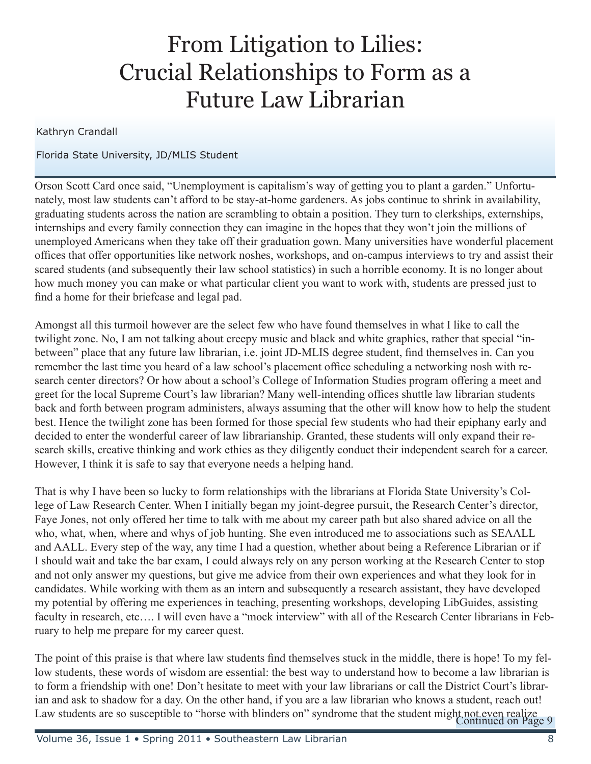### From Litigation to Lilies: Crucial Relationships to Form as a Future Law Librarian

#### Kathryn Crandall

#### Florida State University, JD/MLIS Student

Orson Scott Card once said, "Unemployment is capitalism's way of getting you to plant a garden." Unfortunately, most law students can't afford to be stay-at-home gardeners. As jobs continue to shrink in availability, graduating students across the nation are scrambling to obtain a position. They turn to clerkships, externships, internships and every family connection they can imagine in the hopes that they won't join the millions of unemployed Americans when they take off their graduation gown. Many universities have wonderful placement offices that offer opportunities like network noshes, workshops, and on-campus interviews to try and assist their scared students (and subsequently their law school statistics) in such a horrible economy. It is no longer about how much money you can make or what particular client you want to work with, students are pressed just to find a home for their briefcase and legal pad.

Amongst all this turmoil however are the select few who have found themselves in what I like to call the twilight zone. No, I am not talking about creepy music and black and white graphics, rather that special "inbetween" place that any future law librarian, i.e. joint JD-MLIS degree student, find themselves in. Can you remember the last time you heard of a law school's placement office scheduling a networking nosh with research center directors? Or how about a school's College of Information Studies program offering a meet and greet for the local Supreme Court's law librarian? Many well-intending offices shuttle law librarian students back and forth between program administers, always assuming that the other will know how to help the student best. Hence the twilight zone has been formed for those special few students who had their epiphany early and decided to enter the wonderful career of law librarianship. Granted, these students will only expand their research skills, creative thinking and work ethics as they diligently conduct their independent search for a career. However, I think it is safe to say that everyone needs a helping hand.

That is why I have been so lucky to form relationships with the librarians at Florida State University's College of Law Research Center. When I initially began my joint-degree pursuit, the Research Center's director, Faye Jones, not only offered her time to talk with me about my career path but also shared advice on all the who, what, when, where and whys of job hunting. She even introduced me to associations such as SEAALL and AALL. Every step of the way, any time I had a question, whether about being a Reference Librarian or if I should wait and take the bar exam, I could always rely on any person working at the Research Center to stop and not only answer my questions, but give me advice from their own experiences and what they look for in candidates. While working with them as an intern and subsequently a research assistant, they have developed my potential by offering me experiences in teaching, presenting workshops, developing LibGuides, assisting faculty in research, etc.... I will even have a "mock interview" with all of the Research Center librarians in February to help me prepare for my career quest.

The point of this praise is that where law students find themselves stuck in the middle, there is hope! To my fellow students, these words of wisdom are essential: the best way to understand how to become a law librarian is to form a friendship with one! Don't hesitate to meet with your law librarians or call the District Court's librarian and ask to shadow for a day. On the other hand, if you are a law librarian who knows a student, reach out! Law students are so susceptible to "horse with blinders on" syndrome that the student might not even realize 9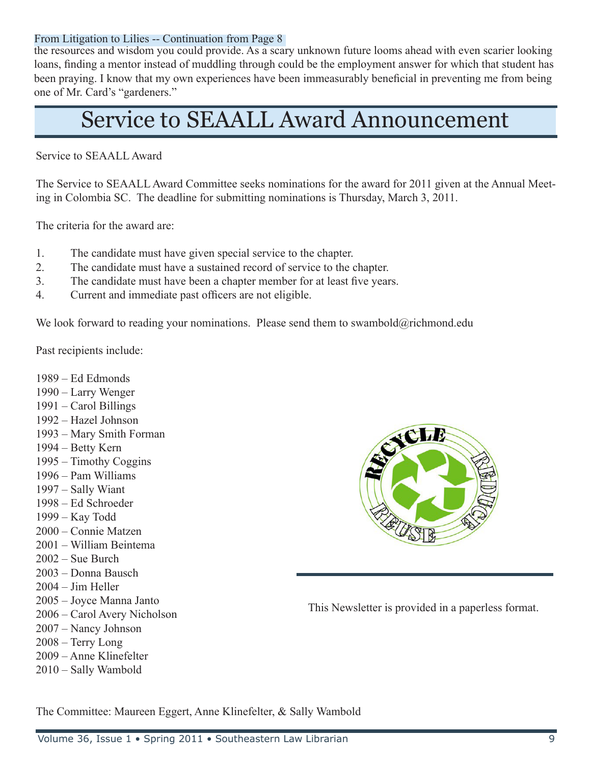#### From Litigation to Lilies -- Continuation from Page 8

the resources and wisdom you could provide. As a scary unknown future looms ahead with even scarier looking loans, finding a mentor instead of muddling through could be the employment answer for which that student has been praying. I know that my own experiences have been immeasurably beneficial in preventing me from being one of Mr. Card's "gardeners."

### Service to SEAALL Award Announcement

Service to SEAALL Award

The Service to SEAALL Award Committee seeks nominations for the award for 2011 given at the Annual Meeting in Colombia SC. The deadline for submitting nominations is Thursday, March 3, 2011.

The criteria for the award are:

- 1. The candidate must have given special service to the chapter.
- 2. The candidate must have a sustained record of service to the chapter.
- 3. The candidate must have been a chapter member for at least five years.
- 4. Current and immediate past officers are not eligible.

We look forward to reading your nominations. Please send them to swambold@richmond.edu

Past recipients include:

- 1989 Ed Edmonds
- 1990 Larry Wenger
- 1991 Carol Billings
- 1992 Hazel Johnson
- 1993 Mary Smith Forman
- 1994 Betty Kern
- 1995 Timothy Coggins
- 1996 Pam Williams
- 1997 Sally Wiant
- 1998 Ed Schroeder
- 1999 Kay Todd
- 2000 Connie Matzen
- 2001 William Beintema
- 2002 Sue Burch
- 2003 Donna Bausch
- 2004 Jim Heller
- 2005 Joyce Manna Janto
- 2006 Carol Avery Nicholson
- 2007 Nancy Johnson
- 2008 Terry Long
- 2009 Anne Klinefelter
- 2010 Sally Wambold



This Newsletter is provided in a paperless format.

The Committee: Maureen Eggert, Anne Klinefelter, & Sally Wambold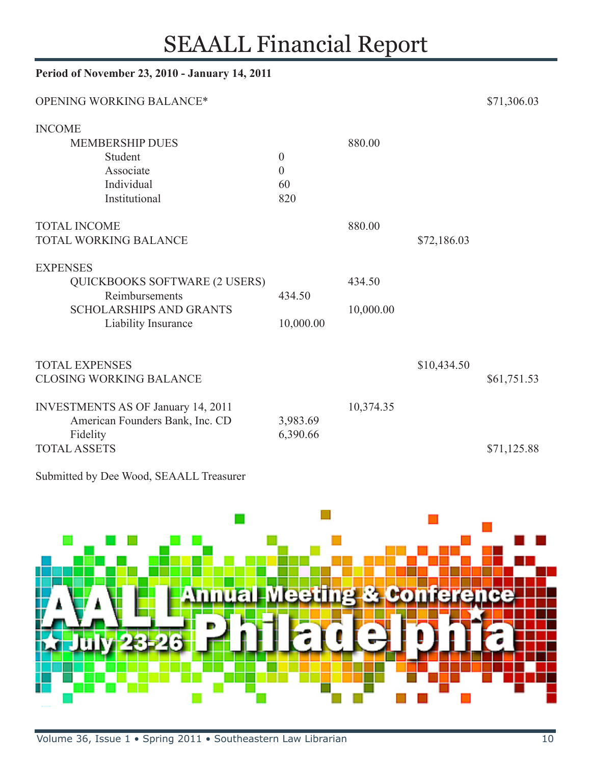### SEAALL Financial Report

| Period of November 23, 2010 - January 14, 2011 |                  |           |             |             |  |
|------------------------------------------------|------------------|-----------|-------------|-------------|--|
| OPENING WORKING BALANCE*                       |                  |           |             | \$71,306.03 |  |
| <b>INCOME</b>                                  |                  |           |             |             |  |
| <b>MEMBERSHIP DUES</b>                         |                  | 880.00    |             |             |  |
| Student                                        | $\boldsymbol{0}$ |           |             |             |  |
| Associate                                      | $\boldsymbol{0}$ |           |             |             |  |
| Individual                                     | 60               |           |             |             |  |
| Institutional                                  | 820              |           |             |             |  |
| <b>TOTAL INCOME</b>                            |                  | 880.00    |             |             |  |
| <b>TOTAL WORKING BALANCE</b>                   |                  |           | \$72,186.03 |             |  |
| <b>EXPENSES</b>                                |                  |           |             |             |  |
| <b>QUICKBOOKS SOFTWARE (2 USERS)</b>           |                  | 434.50    |             |             |  |
| Reimbursements                                 | 434.50           |           |             |             |  |
| <b>SCHOLARSHIPS AND GRANTS</b>                 |                  | 10,000.00 |             |             |  |
| Liability Insurance                            | 10,000.00        |           |             |             |  |
|                                                |                  |           |             |             |  |
| <b>TOTAL EXPENSES</b>                          |                  |           | \$10,434.50 |             |  |
| <b>CLOSING WORKING BALANCE</b>                 |                  |           |             | \$61,751.53 |  |
| <b>INVESTMENTS AS OF January 14, 2011</b>      |                  | 10,374.35 |             |             |  |
| American Founders Bank, Inc. CD                | 3,983.69         |           |             |             |  |
| Fidelity                                       | 6,390.66         |           |             |             |  |
| <b>TOTAL ASSETS</b>                            |                  |           |             | \$71,125.88 |  |

Submitted by Dee Wood, SEAALL Treasurer

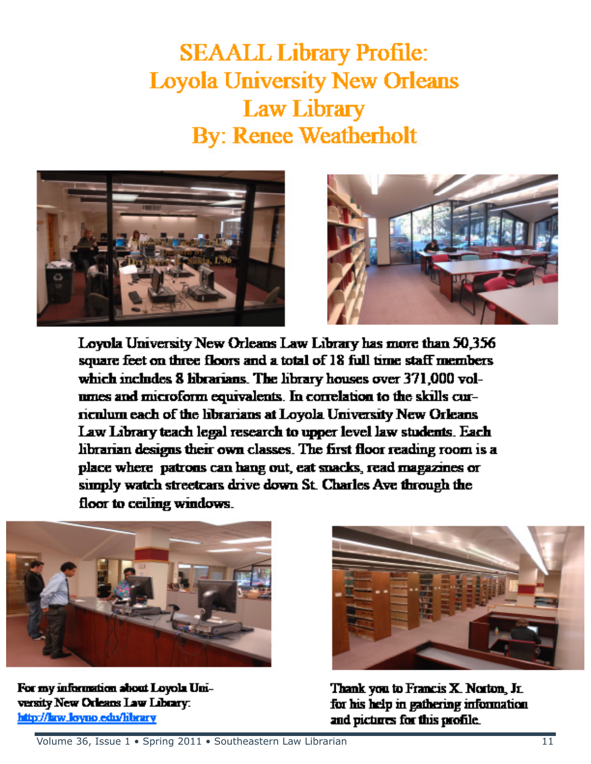**SEAALL Library Profile: Loyola University New Orleans Law Library By: Renee Weatherholt** 





Loyola University New Orleans Law Library has more than 50,356 square feet on three floors and a total of 18 full time staff members which includes 8 librarians. The library houses over 371,000 volnmes and microform equivalents. In correlation to the skills curneulum each of the librarians at Lovola University New Orleans Law Library teach legal research to upper level law students. Each librarian designs their own classes. The first floor reading room is a place where patrons can hang out, eat snacks, read magazines or simply watch streetcars drive down St. Charles Ave through the floor to ceiling windows.



For my information about Loyola University New Orleans Law Library. http://law.lovno.edu/library



Thank you to Francis X. Norton, Jr. for his help in gathering information and pictures for this profile.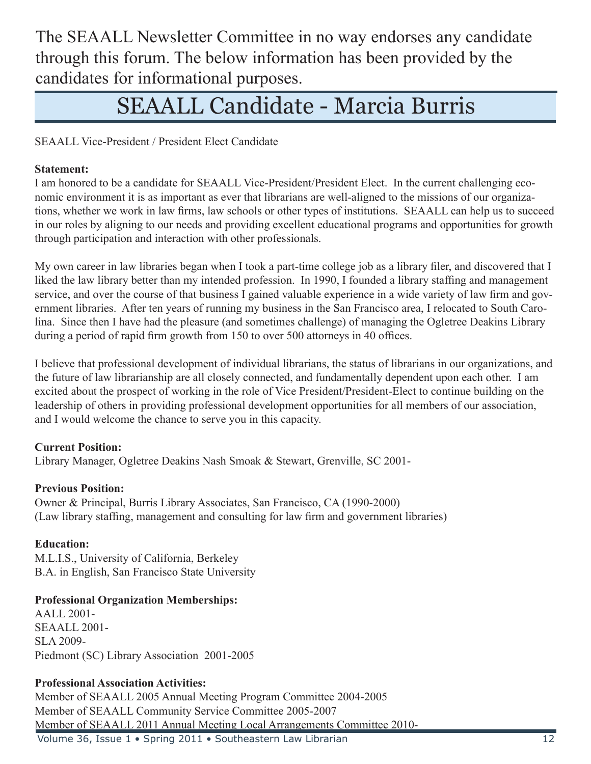The SEAALL Newsletter Committee in no way endorses any candidate through this forum. The below information has been provided by the candidates for informational purposes.

### SEAALL Candidate - Marcia Burris

SEAALL Vice-President / President Elect Candidate

#### **Statement:**

I am honored to be a candidate for SEAALL Vice-President/President Elect. In the current challenging economic environment it is as important as ever that librarians are well-aligned to the missions of our organizations, whether we work in law firms, law schools or other types of institutions. SEAALL can help us to succeed in our roles by aligning to our needs and providing excellent educational programs and opportunities for growth through participation and interaction with other professionals.

My own career in law libraries began when I took a part-time college job as a library filer, and discovered that I liked the law library better than my intended profession. In 1990, I founded a library staffing and management service, and over the course of that business I gained valuable experience in a wide variety of law firm and government libraries. After ten years of running my business in the San Francisco area, I relocated to South Carolina. Since then I have had the pleasure (and sometimes challenge) of managing the Ogletree Deakins Library during a period of rapid firm growth from 150 to over 500 attorneys in 40 offices.

I believe that professional development of individual librarians, the status of librarians in our organizations, and the future of law librarianship are all closely connected, and fundamentally dependent upon each other. I am excited about the prospect of working in the role of Vice President/President-Elect to continue building on the leadership of others in providing professional development opportunities for all members of our association, and I would welcome the chance to serve you in this capacity.

#### **Current Position:**

Library Manager, Ogletree Deakins Nash Smoak & Stewart, Grenville, SC 2001-

#### **Previous Position:**

Owner & Principal, Burris Library Associates, San Francisco, CA (1990-2000) (Law library staffing, management and consulting for law firm and government libraries)

#### **Education:**

M.L.I.S., University of California, Berkeley B.A. in English, San Francisco State University

#### **Professional Organization Memberships:**

AALL 2001- SEAALL 2001- SLA 2009- Piedmont (SC) Library Association 2001-2005

#### **Professional Association Activities:**

Member of SEAALL 2005 Annual Meeting Program Committee 2004-2005 Member of SEAALL Community Service Committee 2005-2007 Member of SEAALL 2011 Annual Meeting Local Arrangements Committee 2010-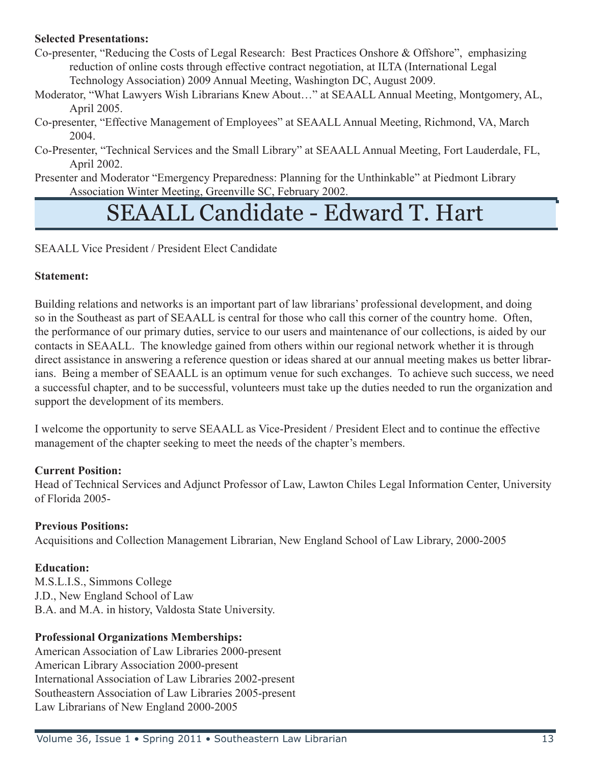#### **Selected Presentations:**

Co-presenter, "Reducing the Costs of Legal Research: Best Practices Onshore & Offshore", emphasizing reduction of online costs through effective contract negotiation, at ILTA (International Legal Technology Association) 2009 Annual Meeting, Washington DC, August 2009.

- Moderator, "What Lawyers Wish Librarians Knew About…" at SEAALL Annual Meeting, Montgomery, AL, April 2005.
- Co-presenter, "Effective Management of Employees" at SEAALL Annual Meeting, Richmond, VA, March 2004.
- Co-Presenter, "Technical Services and the Small Library" at SEAALL Annual Meeting, Fort Lauderdale, FL, April 2002.
- Presenter and Moderator "Emergency Preparedness: Planning for the Unthinkable" at Piedmont Library Association Winter Meeting, Greenville SC, February 2002.

### SEAALL Candidate - Edward T. Hart

SEAALL Vice President / President Elect Candidate

#### **Statement:**

Building relations and networks is an important part of law librarians' professional development, and doing so in the Southeast as part of SEAALL is central for those who call this corner of the country home. Often, the performance of our primary duties, service to our users and maintenance of our collections, is aided by our contacts in SEAALL. The knowledge gained from others within our regional network whether it is through direct assistance in answering a reference question or ideas shared at our annual meeting makes us better librarians. Being a member of SEAALL is an optimum venue for such exchanges. To achieve such success, we need a successful chapter, and to be successful, volunteers must take up the duties needed to run the organization and support the development of its members.

I welcome the opportunity to serve SEAALL as Vice-President / President Elect and to continue the effective management of the chapter seeking to meet the needs of the chapter's members.

#### **Current Position:**

Head of Technical Services and Adjunct Professor of Law, Lawton Chiles Legal Information Center, University of Florida 2005-

#### **Previous Positions:**

Acquisitions and Collection Management Librarian, New England School of Law Library, 2000-2005

#### **Education:**

M.S.L.I.S., Simmons College J.D., New England School of Law B.A. and M.A. in history, Valdosta State University.

#### **Professional Organizations Memberships:**

American Association of Law Libraries 2000-present American Library Association 2000-present International Association of Law Libraries 2002-present Southeastern Association of Law Libraries 2005-present Law Librarians of New England 2000-2005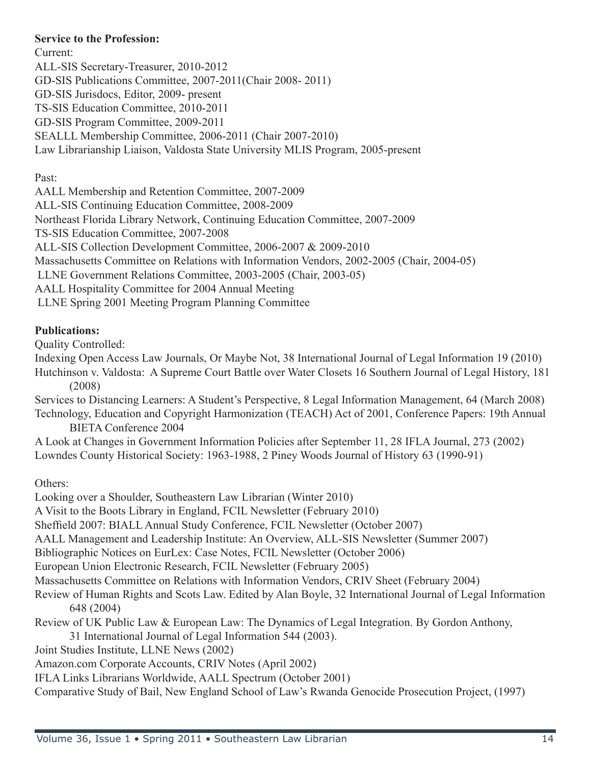#### **Service to the Profession:**

Current: ALL-SIS Secretary-Treasurer, 2010-2012 GD-SIS Publications Committee, 2007-2011(Chair 2008- 2011) GD-SIS Jurisdocs, Editor, 2009- present TS-SIS Education Committee, 2010-2011 GD-SIS Program Committee, 2009-2011 SEALLL Membership Committee, 2006-2011 (Chair 2007-2010) Law Librarianship Liaison, Valdosta State University MLIS Program, 2005-present

Past:

AALL Membership and Retention Committee, 2007-2009 ALL-SIS Continuing Education Committee, 2008-2009 Northeast Florida Library Network, Continuing Education Committee, 2007-2009 TS-SIS Education Committee, 2007-2008 ALL-SIS Collection Development Committee, 2006-2007 & 2009-2010 Massachusetts Committee on Relations with Information Vendors, 2002-2005 (Chair, 2004-05) LLNE Government Relations Committee, 2003-2005 (Chair, 2003-05) AALL Hospitality Committee for 2004 Annual Meeting LLNE Spring 2001 Meeting Program Planning Committee

#### **Publications:**

Quality Controlled:

Indexing Open Access Law Journals, Or Maybe Not, 38 International Journal of Legal Information 19 (2010) Hutchinson v. Valdosta: A Supreme Court Battle over Water Closets 16 Southern Journal of Legal History, 181 (2008)

Services to Distancing Learners: A Student's Perspective, 8 Legal Information Management, 64 (March 2008) Technology, Education and Copyright Harmonization (TEACH) Act of 2001, Conference Papers: 19th Annual BIETA Conference 2004

A Look at Changes in Government Information Policies after September 11, 28 IFLA Journal, 273 (2002) Lowndes County Historical Society: 1963-1988, 2 Piney Woods Journal of History 63 (1990-91)

Others:

Looking over a Shoulder, Southeastern Law Librarian (Winter 2010)

A Visit to the Boots Library in England, FCIL Newsletter (February 2010)

Sheffield 2007: BIALL Annual Study Conference, FCIL Newsletter (October 2007)

AALL Management and Leadership Institute: An Overview, ALL-SIS Newsletter (Summer 2007)

Bibliographic Notices on EurLex: Case Notes, FCIL Newsletter (October 2006)

European Union Electronic Research, FCIL Newsletter (February 2005)

Massachusetts Committee on Relations with Information Vendors, CRIV Sheet (February 2004)

- Review of Human Rights and Scots Law. Edited by Alan Boyle, 32 International Journal of Legal Information 648 (2004)
- Review of UK Public Law & European Law: The Dynamics of Legal Integration. By Gordon Anthony,

31 International Journal of Legal Information 544 (2003).

Joint Studies Institute, LLNE News (2002)

Amazon.com Corporate Accounts, CRIV Notes (April 2002)

IFLA Links Librarians Worldwide, AALL Spectrum (October 2001)

Comparative Study of Bail, New England School of Law's Rwanda Genocide Prosecution Project, (1997)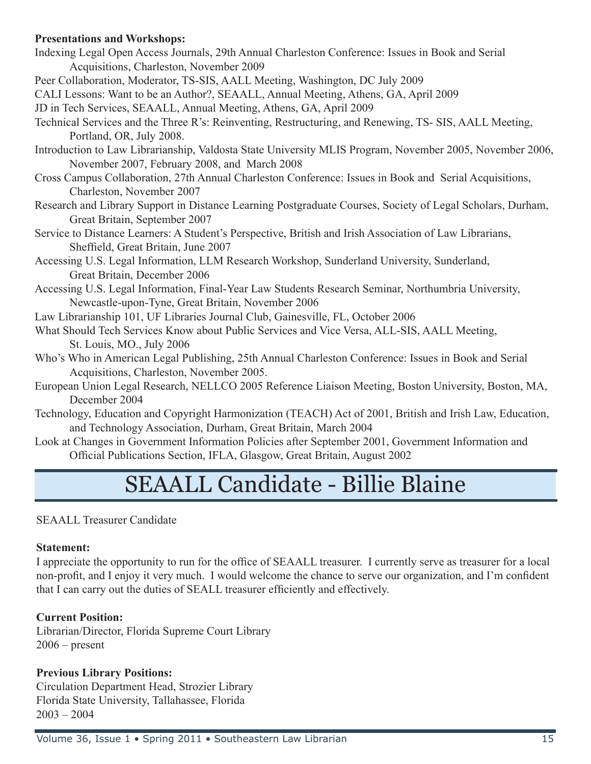#### **Presentations and Workshops:**

- Indexing Legal Open Access Journals, 29th Annual Charleston Conference: Issues in Book and Serial Acquisitions, Charleston, November 2009
- Peer Collaboration, Moderator, TS-SIS, AALL Meeting, Washington, DC July 2009
- CALI Lessons: Want to be an Author?, SEAALL, Annual Meeting, Athens, GA, April 2009
- JD in Tech Services, SEAALL, Annual Meeting, Athens, GA, April 2009
- Technical Services and the Three R's: Reinventing, Restructuring, and Renewing, TS- SIS, AALL Meeting, Portland, OR, July 2008.
- Introduction to Law Librarianship, Valdosta State University MLIS Program, November 2005, November 2006, November 2007, February 2008, and March 2008
- Cross Campus Collaboration, 27th Annual Charleston Conference: Issues in Book and Serial Acquisitions, Charleston, November 2007
- Research and Library Support in Distance Learning Postgraduate Courses, Society of Legal Scholars, Durham, Great Britain, September 2007
- Service to Distance Learners: A Student's Perspective, British and Irish Association of Law Librarians, Sheffield, Great Britain, June 2007
- Accessing U.S. Legal Information, LLM Research Workshop, Sunderland University, Sunderland, Great Britain, December 2006
- Accessing U.S. Legal Information, Final-Year Law Students Research Seminar, Northumbria University, Newcastle-upon-Tyne, Great Britain, November 2006
- Law Librarianship 101, UF Libraries Journal Club, Gainesville, FL, October 2006
- What Should Tech Services Know about Public Services and Vice Versa, ALL-SIS, AALL Meeting, St. Louis, MO., July 2006
- Who's Who in American Legal Publishing, 25th Annual Charleston Conference: Issues in Book and Serial Acquisitions, Charleston, November 2005.
- European Union Legal Research, NELLCO 2005 Reference Liaison Meeting, Boston University, Boston, MA, December 2004
- Technology, Education and Copyright Harmonization (TEACH) Act of 2001, British and Irish Law, Education, and Technology Association, Durham, Great Britain, March 2004
- Look at Changes in Government Information Policies after September 2001, Government Information and Official Publications Section, IFLA, Glasgow, Great Britain, August 2002

### SEAALL Candidate - Billie Blaine

SEAALL Treasurer Candidate

#### **Statement:**

I appreciate the opportunity to run for the office of SEAALL treasurer. I currently serve as treasurer for a local non-profit, and I enjoy it very much. I would welcome the chance to serve our organization, and I'm confident that I can carry out the duties of SEALL treasurer efficiently and effectively.

#### **Current Position:**

Librarian/Director, Florida Supreme Court Library  $2006$  – present

#### **Previous Library Positions:**

Circulation Department Head, Strozier Library Florida State University, Tallahassee, Florida 2003 – 2004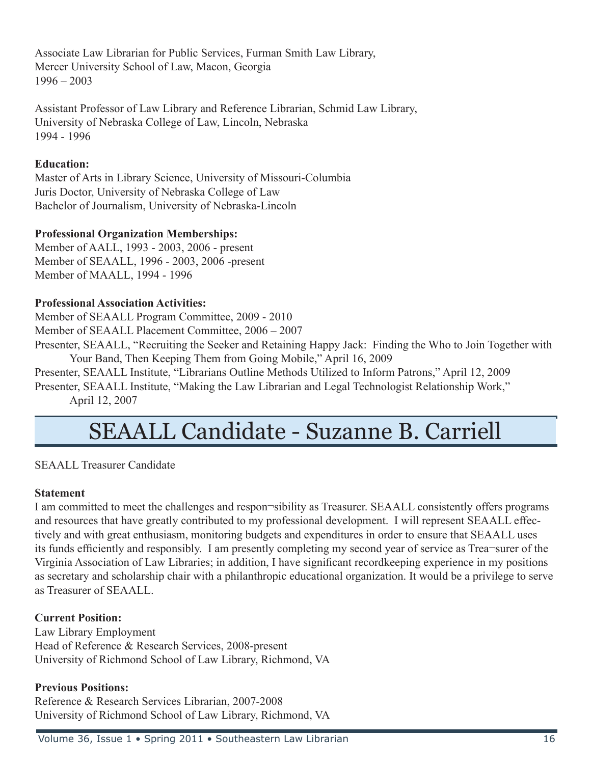Associate Law Librarian for Public Services, Furman Smith Law Library, Mercer University School of Law, Macon, Georgia 1996 – 2003

Assistant Professor of Law Library and Reference Librarian, Schmid Law Library, University of Nebraska College of Law, Lincoln, Nebraska 1994 - 1996

#### **Education:**

Master of Arts in Library Science, University of Missouri-Columbia Juris Doctor, University of Nebraska College of Law Bachelor of Journalism, University of Nebraska-Lincoln

#### **Professional Organization Memberships:**

Member of AALL, 1993 - 2003, 2006 - present Member of SEAALL, 1996 - 2003, 2006 -present Member of MAALL, 1994 - 1996

#### **Professional Association Activities:**

Member of SEAALL Program Committee, 2009 - 2010

Member of SEAALL Placement Committee, 2006 – 2007

Presenter, SEAALL, "Recruiting the Seeker and Retaining Happy Jack: Finding the Who to Join Together with Your Band, Then Keeping Them from Going Mobile," April 16, 2009

Presenter, SEAALL Institute, "Librarians Outline Methods Utilized to Inform Patrons," April 12, 2009

Presenter, SEAALL Institute, "Making the Law Librarian and Legal Technologist Relationship Work," April 12, 2007

### SEAALL Candidate - Suzanne B. Carriell

SEAALL Treasurer Candidate

#### **Statement**

I am committed to meet the challenges and respon¬sibility as Treasurer. SEAALL consistently offers programs and resources that have greatly contributed to my professional development. I will represent SEAALL effectively and with great enthusiasm, monitoring budgets and expenditures in order to ensure that SEAALL uses its funds efficiently and responsibly. I am presently completing my second year of service as Trea¬surer of the Virginia Association of Law Libraries; in addition, I have significant recordkeeping experience in my positions as secretary and scholarship chair with a philanthropic educational organization. It would be a privilege to serve as Treasurer of SEAALL.

#### **Current Position:**

Law Library Employment Head of Reference & Research Services, 2008-present University of Richmond School of Law Library, Richmond, VA

#### **Previous Positions:**

Reference & Research Services Librarian, 2007-2008 University of Richmond School of Law Library, Richmond, VA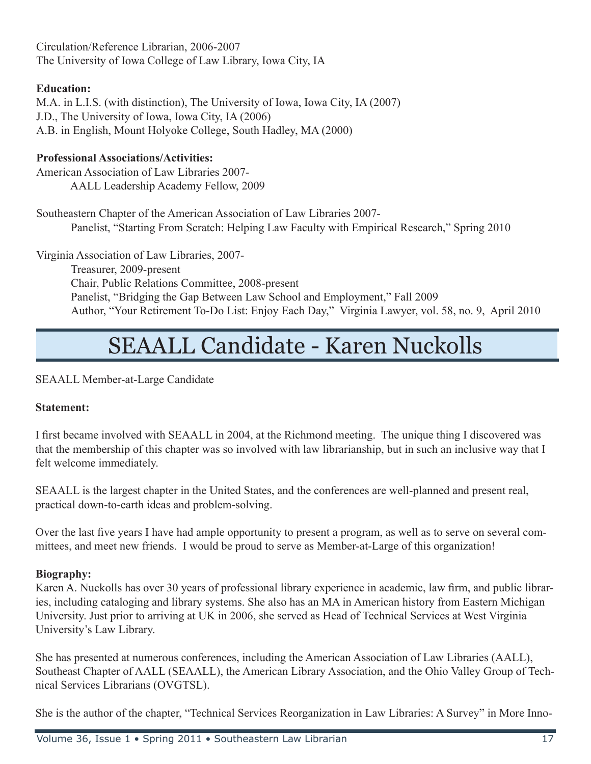Circulation/Reference Librarian, 2006-2007 The University of Iowa College of Law Library, Iowa City, IA

#### **Education:**

M.A. in L.I.S. (with distinction), The University of Iowa, Iowa City, IA (2007) J.D., The University of Iowa, Iowa City, IA (2006) A.B. in English, Mount Holyoke College, South Hadley, MA (2000)

#### **Professional Associations/Activities:**

American Association of Law Libraries 2007- AALL Leadership Academy Fellow, 2009

Southeastern Chapter of the American Association of Law Libraries 2007- Panelist, "Starting From Scratch: Helping Law Faculty with Empirical Research," Spring 2010

Virginia Association of Law Libraries, 2007-

 Treasurer, 2009-present Chair, Public Relations Committee, 2008-present Panelist, "Bridging the Gap Between Law School and Employment," Fall 2009 Author, "Your Retirement To-Do List: Enjoy Each Day," Virginia Lawyer, vol. 58, no. 9, April 2010

### SEAALL Candidate - Karen Nuckolls

SEAALL Member-at-Large Candidate

#### **Statement:**

I first became involved with SEAALL in 2004, at the Richmond meeting. The unique thing I discovered was that the membership of this chapter was so involved with law librarianship, but in such an inclusive way that I felt welcome immediately.

SEAALL is the largest chapter in the United States, and the conferences are well-planned and present real, practical down-to-earth ideas and problem-solving.

Over the last five years I have had ample opportunity to present a program, as well as to serve on several committees, and meet new friends. I would be proud to serve as Member-at-Large of this organization!

#### **Biography:**

Karen A. Nuckolls has over 30 years of professional library experience in academic, law firm, and public libraries, including cataloging and library systems. She also has an MA in American history from Eastern Michigan University. Just prior to arriving at UK in 2006, she served as Head of Technical Services at West Virginia University's Law Library.

She has presented at numerous conferences, including the American Association of Law Libraries (AALL), Southeast Chapter of AALL (SEAALL), the American Library Association, and the Ohio Valley Group of Technical Services Librarians (OVGTSL).

She is the author of the chapter, "Technical Services Reorganization in Law Libraries: A Survey" in More Inno-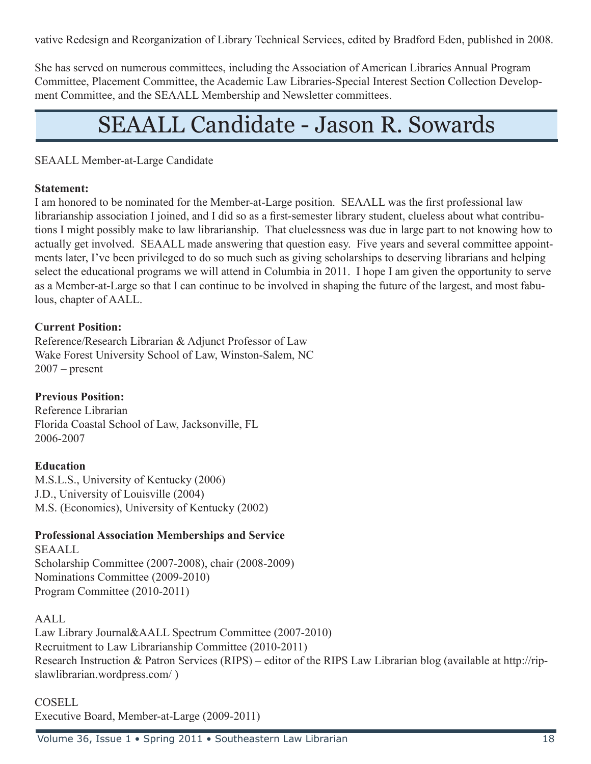vative Redesign and Reorganization of Library Technical Services, edited by Bradford Eden, published in 2008.

She has served on numerous committees, including the Association of American Libraries Annual Program Committee, Placement Committee, the Academic Law Libraries-Special Interest Section Collection Development Committee, and the SEAALL Membership and Newsletter committees.

### SEAALL Candidate - Jason R. Sowards

#### SEAALL Member-at-Large Candidate

#### **Statement:**

I am honored to be nominated for the Member-at-Large position. SEAALL was the first professional law librarianship association I joined, and I did so as a first-semester library student, clueless about what contributions I might possibly make to law librarianship. That cluelessness was due in large part to not knowing how to actually get involved. SEAALL made answering that question easy. Five years and several committee appointments later, I've been privileged to do so much such as giving scholarships to deserving librarians and helping select the educational programs we will attend in Columbia in 2011. I hope I am given the opportunity to serve as a Member-at-Large so that I can continue to be involved in shaping the future of the largest, and most fabulous, chapter of AALL.

#### **Current Position:**

Reference/Research Librarian & Adjunct Professor of Law Wake Forest University School of Law, Winston-Salem, NC  $2007$  – present

#### **Previous Position:**

Reference Librarian Florida Coastal School of Law, Jacksonville, FL 2006-2007

#### **Education**

M.S.L.S., University of Kentucky (2006) J.D., University of Louisville (2004) M.S. (Economics), University of Kentucky (2002)

#### **Professional Association Memberships and Service**

SEAALL Scholarship Committee (2007-2008), chair (2008-2009) Nominations Committee (2009-2010) Program Committee (2010-2011)

#### AALL

Law Library Journal&AALL Spectrum Committee (2007-2010) Recruitment to Law Librarianship Committee (2010-2011) Research Instruction & Patron Services (RIPS) – editor of the RIPS Law Librarian blog (available at http://ripslawlibrarian.wordpress.com/ )

#### COSELL

Executive Board, Member-at-Large (2009-2011)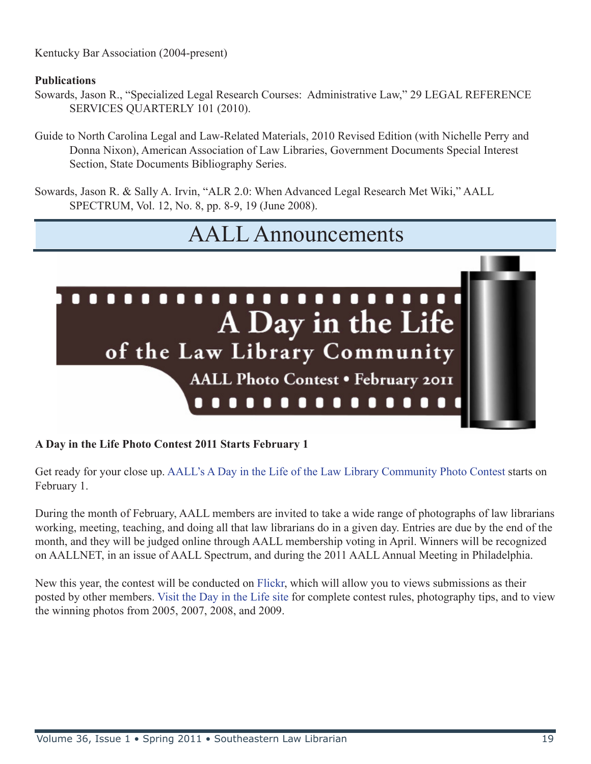Kentucky Bar Association (2004-present)

#### **Publications**

- Sowards, Jason R., "Specialized Legal Research Courses: Administrative Law," 29 LEGAL REFERENCE SERVICES QUARTERLY 101 (2010).
- Guide to North Carolina Legal and Law-Related Materials, 2010 Revised Edition (with Nichelle Perry and Donna Nixon), American Association of Law Libraries, Government Documents Special Interest Section, State Documents Bibliography Series.

Sowards, Jason R. & Sally A. Irvin, "ALR 2.0: When Advanced Legal Research Met Wiki," AALL SPECTRUM, Vol. 12, No. 8, pp. 8-9, 19 (June 2008).

### AALL Announcements



#### **A Day in the Life Photo Contest 2011 Starts February 1**

Get ready for your close up. [AALL's A Day in the Life of the Law Library Community Photo Contest](http://www.aallnet.org/dayinlife/) starts on February 1.

During the month of February, AALL members are invited to take a wide range of photographs of law librarians working, meeting, teaching, and doing all that law librarians do in a given day. Entries are due by the end of the month, and they will be judged online through AALL membership voting in April. Winners will be recognized on AALLNET, in an issue of AALL Spectrum, and during the 2011 AALL Annual Meeting in Philadelphia.

New this year, the contest will be conducted on [Flickr,](http://www.flickr.com/groups/aalldayinlife2011/) which will allow you to views submissions as their posted by other members. [Visit the Day in the Life site](http://www.aallnet.org/dayinlife/) for complete contest rules, photography tips, and to view the winning photos from 2005, 2007, 2008, and 2009.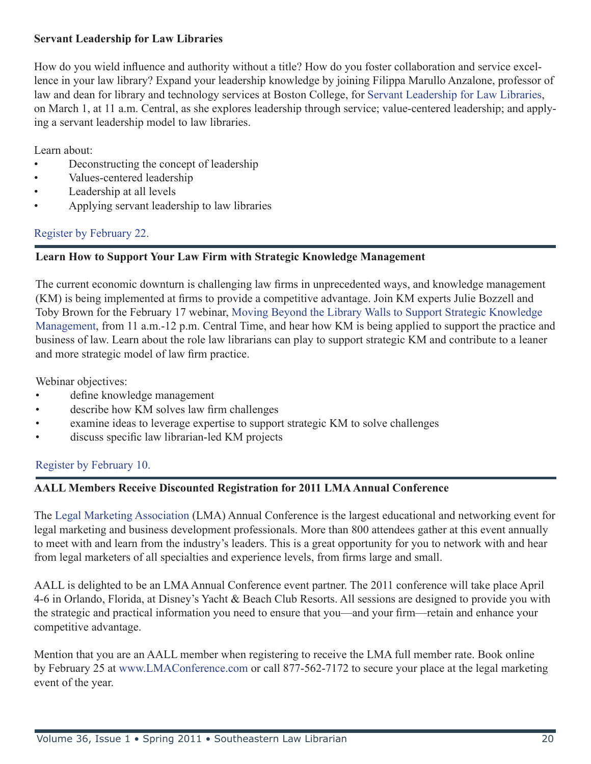#### **Servant Leadership for Law Libraries**

How do you wield influence and authority without a title? How do you foster collaboration and service excellence in your law library? Expand your leadership knowledge by joining Filippa Marullo Anzalone, professor of law and dean for library and technology services at Boston College, for [Servant Leadership for Law Libraries](http://www.aallnet.org/calendar/eventdisplay.asp?eid=342&arc=no), on March 1, at 11 a.m. Central, as she explores leadership through service; value-centered leadership; and applying a servant leadership model to law libraries.

Learn about:

- Deconstructing the concept of leadership
- Values-centered leadership
- Leadership at all levels
- Applying servant leadership to law libraries

#### [Register by February 22.](http://www.regonline.com/servantleadership)

#### **Learn How to Support Your Law Firm with Strategic Knowledge Management**

The current economic downturn is challenging law firms in unprecedented ways, and knowledge management (KM) is being implemented at firms to provide a competitive advantage. Join KM experts Julie Bozzell and Toby Brown for the February 17 webinar, [Moving Beyond the Library Walls to Support Strategic Knowledge](http://www.aallnet.org/calendar/eventdisplay.asp?eid=336&arc=no)  [Management](http://www.aallnet.org/calendar/eventdisplay.asp?eid=336&arc=no), from 11 a.m.-12 p.m. Central Time, and hear how KM is being applied to support the practice and business of law. Learn about the role law librarians can play to support strategic KM and contribute to a leaner and more strategic model of law firm practice.

Webinar objectives:

- define knowledge management
- describe how KM solves law firm challenges
- examine ideas to leverage expertise to support strategic KM to solve challenges
- discuss specific law librarian-led KM projects

#### [Register by February 10.](http://www.regonline.com/moving_beyond)

#### **AALL Members Receive Discounted Registration for 2011 LMA Annual Conference**

The [Legal Marketing Association](http://www.legalmarketing.org/) (LMA) Annual Conference is the largest educational and networking event for legal marketing and business development professionals. More than 800 attendees gather at this event annually to meet with and learn from the industry's leaders. This is a great opportunity for you to network with and hear from legal marketers of all specialties and experience levels, from firms large and small.

AALL is delighted to be an LMA Annual Conference event partner. The 2011 conference will take place April 4-6 in Orlando, Florida, at Disney's Yacht & Beach Club Resorts. All sessions are designed to provide you with the strategic and practical information you need to ensure that you—and your firm—retain and enhance your competitive advantage.

Mention that you are an AALL member when registering to receive the LMA full member rate. Book online by February 25 at [www.LMAConference.com](http://www.lmaconference.com/) or call 877-562-7172 to secure your place at the legal marketing event of the year.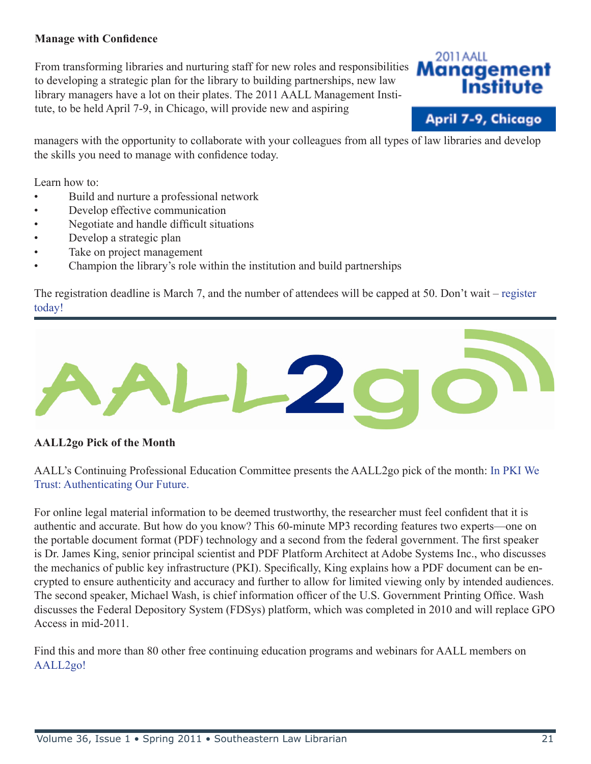#### **Manage with Confidence**

From transforming libraries and nurturing staff for new roles and responsibilities to developing a strategic plan for the library to building partnerships, new law library managers have a lot on their plates. The 2011 AALL Management Institute, to be held April 7-9, in Chicago, will provide new and aspiring





managers with the opportunity to collaborate with your colleagues from all types of law libraries and develop the skills you need to manage with confidence today.

Learn how to:

- Build and nurture a professional network
- Develop effective communication
- Negotiate and handle difficult situations
- Develop a strategic plan
- Take on project management
- Champion the library's role within the institution and build partnerships

The registration deadline is March 7, and the number of attendees will be capped at 50. Don't wait – [register](http://www.regonline.com/Mgmt_Inst/)  [today!](http://www.regonline.com/Mgmt_Inst/) 



#### **AALL2go Pick of the Month**

AALL's Continuing Professional Education Committee presents the AALL2go pick of the month: [In PKI We](http://www.softconference.com/aall/sessionDetail.asp?SID=208462)  [Trust: Authenticating Our Future.](http://www.softconference.com/aall/sessionDetail.asp?SID=208462)

For online legal material information to be deemed trustworthy, the researcher must feel confident that it is authentic and accurate. But how do you know? This 60-minute MP3 recording features two experts—one on the portable document format (PDF) technology and a second from the federal government. The first speaker is Dr. James King, senior principal scientist and PDF Platform Architect at Adobe Systems Inc., who discusses the mechanics of public key infrastructure (PKI). Specifically, King explains how a PDF document can be encrypted to ensure authenticity and accuracy and further to allow for limited viewing only by intended audiences. The second speaker, Michael Wash, is chief information officer of the U.S. Government Printing Office. Wash discusses the Federal Depository System (FDSys) platform, which was completed in 2010 and will replace GPO Access in mid-2011.

Find this and more than 80 other free continuing education programs and webinars for AALL members on [AALL2go!](http://www.softconference.com/aall/default.asp)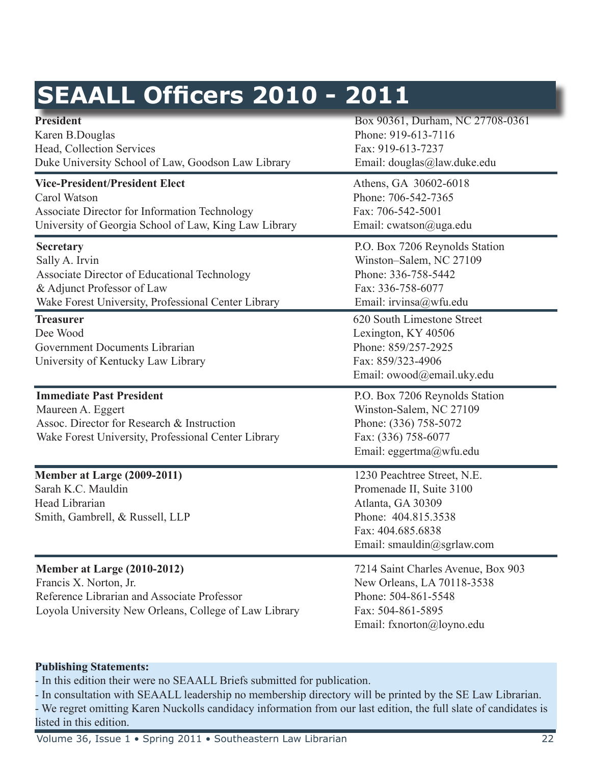|  | <b>SEAALL Officers 2010 - 2011</b> |  |  |
|--|------------------------------------|--|--|
|--|------------------------------------|--|--|

| <b>President</b><br>Karen B.Douglas<br>Head, Collection Services<br>Duke University School of Law, Goodson Law Library                                                  | Box 90361, Durham, NC 27708-0361<br>Phone: 919-613-7116<br>Fax: 919-613-7237<br>Email: douglas@law.duke.edu                                            |
|-------------------------------------------------------------------------------------------------------------------------------------------------------------------------|--------------------------------------------------------------------------------------------------------------------------------------------------------|
| <b>Vice-President/President Elect</b><br>Carol Watson<br>Associate Director for Information Technology<br>University of Georgia School of Law, King Law Library         | Athens, GA 30602-6018<br>Phone: 706-542-7365<br>Fax: 706-542-5001<br>Email: cwatson@uga.edu                                                            |
| <b>Secretary</b><br>Sally A. Irvin<br>Associate Director of Educational Technology<br>& Adjunct Professor of Law<br>Wake Forest University, Professional Center Library | P.O. Box 7206 Reynolds Station<br>Winston-Salem, NC 27109<br>Phone: 336-758-5442<br>Fax: 336-758-6077<br>Email: irvinsa@wfu.edu                        |
| <b>Treasurer</b><br>Dee Wood<br>Government Documents Librarian<br>University of Kentucky Law Library                                                                    | 620 South Limestone Street<br>Lexington, KY 40506<br>Phone: 859/257-2925<br>Fax: 859/323-4906<br>Email: owood@email.uky.edu                            |
| <b>Immediate Past President</b><br>Maureen A. Eggert<br>Assoc. Director for Research & Instruction<br>Wake Forest University, Professional Center Library               | P.O. Box 7206 Reynolds Station<br>Winston-Salem, NC 27109<br>Phone: (336) 758-5072<br>Fax: (336) 758-6077<br>Email: eggertma@wfu.edu                   |
| Member at Large (2009-2011)<br>Sarah K.C. Mauldin<br>Head Librarian<br>Smith, Gambrell, & Russell, LLP                                                                  | 1230 Peachtree Street, N.E.<br>Promenade II, Suite 3100<br>Atlanta, GA 30309<br>Phone: 404.815.3538<br>Fax: 404.685.6838<br>Email: smauldin@sgrlaw.com |
| Member at Large (2010-2012)<br>Francis X. Norton, Jr.<br>Reference Librarian and Associate Professor<br>Loyola University New Orleans, College of Law Library           | 7214 Saint Charles Avenue, Box 903<br>New Orleans, LA 70118-3538<br>Phone: 504-861-5548<br>Fax: 504-861-5895<br>Email: fxnorton@loyno.edu              |

#### **Publishing Statements:**

- In this edition their were no SEAALL Briefs submitted for publication.

- In consultation with SEAALL leadership no membership directory will be printed by the SE Law Librarian. - We regret omitting Karen Nuckolls candidacy information from our last edition, the full slate of candidates is listed in this edition.